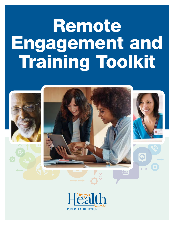# Remote Engagement and **Engagement and<br>Training Toolkit** Walnung Toolkh



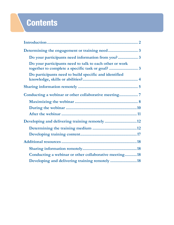## **Contents**

| Do your participants need information from you?3        |  |
|---------------------------------------------------------|--|
| Do your participants need to talk to each other or work |  |
| Do participants need to build specific and identified   |  |
|                                                         |  |
|                                                         |  |
|                                                         |  |
|                                                         |  |
|                                                         |  |
|                                                         |  |
|                                                         |  |
|                                                         |  |
|                                                         |  |
|                                                         |  |
| Conducting a webinar or other collaborative meeting18   |  |
| Developing and delivering training remotely 18          |  |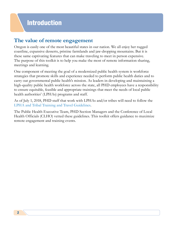## **The value of remote engagement**

Oregon is easily one of the most beautiful states in our nation. We all enjoy her rugged coastline, expansive desserts, pristine farmlands and jaw-dropping mountains. But it is these same captivating features that can make traveling to meet in person expensive. The purpose of this toolkit is to help you make the most of remote information sharing, meetings and learning.

One component of meeting the goal of a modernized public health system is workforce strategies that promote skills and experience needed to perform public health duties and to carry out governmental public health's mission. As leaders in developing and maintaining a high-quality public health workforce across the state, all PHD employees have a responsibility to ensure equitable, feasible and appropriate trainings that meet the needs of local public health authorities' (LPHAs) programs and staff.

As of July 1, 2018, PHD staff that work with LPHAs and/or tribes will need to follow the [LPHA and Tribal Training and Travel Guidelines.](https://www.oregon.gov/oha/PH/PROVIDERPARTNERRESOURCES/LOCALHEALTHDEPARTMENTRESOURCES/Documents/Guidance/Guidelines-training-travel.pdf)

The Public Health Executive Team, PHD Section Managers and the Conference of Local Health Officials (CLHO) vetted these guidelines. This toolkit offers guidance to maximize remote engagement and training events.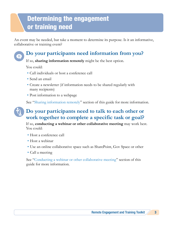## Determining the engagement or training need

An event may be needed, but take a moment to determine its purpose. Is it an informative, collaborative or training event?

## **Do your participants need information from you?**

If so, **sharing information remotely** might be the best option.

You could:

- Call individuals or host a conference call
- Send an email
- Create a newsletter (if information needs to be shared regularly with many recipients)
- Post information to a webpage

See "[Sharing information remotely](#page-6-0)" section of this guide for more information.

## **Do your participants need to talk to each other or work together to complete a specific task or goal?**

If so, **conducting a webinar or other collaborative meeting** may work best. You could:

- Host a conference call
- Host a webinar
- Use an online collaborative space such as SharePoint, Gov Space or other
- Call a meeting

See "[Conducting a webinar or other collaborative meeting"](#page-8-0) section of this guide for more information.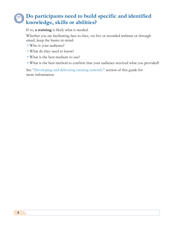## **Do participants need to build specific and identified knowledge, skills or abilities?**

If so, **a training** is likely what is needed.

Whether you are facilitating face-to-face, via live or recorded webinar or through email, keep the basics in mind:

- Who is your audience?
- What do they need to know?
- What is the best medium to use?
- What is the best method to confirm that your audience received what you provided?

See "[Developing and delivering training remotely"](#page-13-0) section of this guide for more information.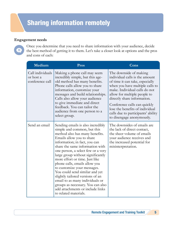#### <span id="page-6-0"></span>**Engagement needs**

Once you determine that you need to share information with your audience, decide the best method of getting it to them. Let's take a closer look at options and the pros and cons of each:

| Medium                                           | Pros                                                                                                                                                                                                                                                                                                                                                                                                                                                                                                                                                                                        | Cons                                                                                                                                                                                                                                                                                                                                                                 |
|--------------------------------------------------|---------------------------------------------------------------------------------------------------------------------------------------------------------------------------------------------------------------------------------------------------------------------------------------------------------------------------------------------------------------------------------------------------------------------------------------------------------------------------------------------------------------------------------------------------------------------------------------------|----------------------------------------------------------------------------------------------------------------------------------------------------------------------------------------------------------------------------------------------------------------------------------------------------------------------------------------------------------------------|
| Call individuals<br>or host a<br>conference call | Making a phone call may seem<br>incredibly simple, but this age-<br>old method has many benefits.<br>Phone calls allow you to share<br>information, customize your<br>messages and build relationships.<br>Calls also allow your audience<br>to give immediate and direct<br>feedback. You can tailor the<br>audience from one person to a<br>select group.                                                                                                                                                                                                                                 | The downside of making<br>individual calls is the amount<br>of time it can take, especially<br>when you have multiple calls to<br>make. Individual calls do not<br>allow for multiple people to<br>directly share information.<br>Conference calls can quickly<br>lose the benefits of individual<br>calls due to participants' ability<br>to disengage anonymously. |
| Send an email                                    | Sending emails is also incredibly<br>simple and common, but this<br>method also has many benefits.<br>Emails allow you to share<br>information; in fact, you can<br>share the same information with<br>one person, a select few or a very<br>large group without significantly<br>more effort or time. Just like<br>phone calls, emails allow you<br>to customize your messages.<br>You could send similar and yet<br>slightly tailored versions of an<br>email to as many individuals or<br>groups as necessary. You can also<br>add attachments or include links<br>to related materials. | The downsides of emails are<br>the lack of direct contact,<br>the sheer volume of emails<br>your audience receives and<br>the increased potential for<br>misinterpretation.                                                                                                                                                                                          |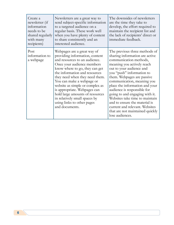| Create a<br>newsletter (if<br>information<br>needs to be<br>shared regularly<br>with many<br>recipients) | Newsletters are a great way to<br>send subject-specific information<br>to a targeted audience on a<br>regular basis. These work well<br>when you have plenty of content<br>to share consistently and an<br>interested audience.                                                                                                                                                                                                                       | The downsides of newsletters<br>are the time they take to<br>develop, the effort required to<br>maintain the recipient list and<br>the lack of recipients' direct or<br>immediate feedback.                                                                                                                                                                                                                                                                                                                |
|----------------------------------------------------------------------------------------------------------|-------------------------------------------------------------------------------------------------------------------------------------------------------------------------------------------------------------------------------------------------------------------------------------------------------------------------------------------------------------------------------------------------------------------------------------------------------|------------------------------------------------------------------------------------------------------------------------------------------------------------------------------------------------------------------------------------------------------------------------------------------------------------------------------------------------------------------------------------------------------------------------------------------------------------------------------------------------------------|
| Post<br>information to<br>a webpage                                                                      | Webpages are a great way of<br>providing information, content<br>and resources to an audience.<br>Once your audience members<br>know where to go, they can get<br>the information and resources<br>they need when they need them.<br>You can make a webpage or<br>website as simple or complex as<br>is appropriate. Webpages can<br>hold large amounts of resources<br>in relatively small spaces by<br>using links to other pages<br>and documents. | The previous three methods of<br>sharing information are active<br>communication methods,<br>meaning you actively reach<br>out to your audience and<br>you "push" information to<br>them. Webpages are passive<br>communication, meaning you<br>place the information and your<br>audience is responsible for<br>going to and engaging with it.<br>Websites take time to maintain<br>and to ensure the material is<br>current and relevant. Websites<br>that are not maintained quickly<br>lose audiences. |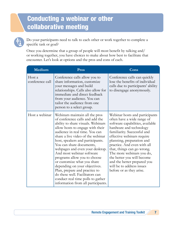## <span id="page-8-0"></span>Conducting a webinar or other collaborative meeting



Do your participants need to talk to each other or work together to complete a specific task or goal?

Once you determine that a group of people will most benefit by talking and/ or working together, you have choices to make about how best to facilitate that encounter. Let's look at options and the pros and cons of each.

| Medium                    | Pros                                                                                                                                                                                                                                                                                                                                                                                                                                                                                                                                                                                              | Cons                                                                                                                                                                                                                                                                                                                                                                                                                                  |
|---------------------------|---------------------------------------------------------------------------------------------------------------------------------------------------------------------------------------------------------------------------------------------------------------------------------------------------------------------------------------------------------------------------------------------------------------------------------------------------------------------------------------------------------------------------------------------------------------------------------------------------|---------------------------------------------------------------------------------------------------------------------------------------------------------------------------------------------------------------------------------------------------------------------------------------------------------------------------------------------------------------------------------------------------------------------------------------|
| Host a<br>conference call | Conference calls allow you to<br>share information, customize<br>your messages and build<br>relationships. Calls also allow for<br>immediate and direct feedback<br>from your audience. You can<br>tailor the audience from one<br>person to a select group.                                                                                                                                                                                                                                                                                                                                      | Conference calls can quickly<br>lose the benefits of individual<br>calls due to participants' ability<br>to disengage anonymously.                                                                                                                                                                                                                                                                                                    |
| Host a webinar            | Webinars maintain all the pros<br>of conference calls and add the<br>ability to share visuals. Webinars<br>allow hosts to engage with their<br>audience in real time. You can<br>share a live video of the webinar<br>host, speakers and participants.<br>You can share documents,<br>webpages and even your desktop.<br>And most webinar software<br>programs allow you to choose<br>or customize what you share<br>depending on your objectives.<br>Plan, prepare and practice to<br>do these well. Facilitators can<br>conduct real time polls to gather<br>information from all participants. | Webinar hosts and participants<br>often have a wide range of<br>software capabilities, available<br>hardware and technology<br>familiarity. Successful and<br>effective webinars require<br>planning, preparation and<br>practice. And even with all<br>that, things can go wrong.<br>The more webinars you do,<br>the better you will become<br>and the better prepared you<br>will be to address issues<br>before or as they arise. |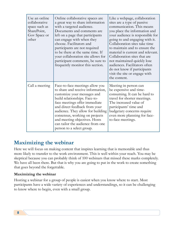| Use an online<br>collaborative<br>space such as<br>SharePoint,<br>Gov Space or<br>other | Online collaborative spaces are<br>a great way to share information<br>with a targeted audience.<br>Documents and comments are<br>left on a page that participants<br>can engage with when they<br>choose. Facilitators and<br>participants are not required<br>to be there at the same time. If<br>your collaboration site allows for<br>participant comments, be sure to<br>frequently monitor this section. | Like a webpage, collaboration<br>sites are a type of passive<br>communication. This means<br>you place the information and<br>your audience is responsible for<br>going to and engaging with it.<br>Collaboration sites take time<br>to maintain and to ensure the<br>material is current and relevant.<br>Collaboration sites that are<br>not maintained quickly lose<br>audiences. Facilitators often<br>do not know if participants<br>visit the site or engage with<br>the content. |
|-----------------------------------------------------------------------------------------|----------------------------------------------------------------------------------------------------------------------------------------------------------------------------------------------------------------------------------------------------------------------------------------------------------------------------------------------------------------------------------------------------------------|-----------------------------------------------------------------------------------------------------------------------------------------------------------------------------------------------------------------------------------------------------------------------------------------------------------------------------------------------------------------------------------------------------------------------------------------------------------------------------------------|
| Call a meeting                                                                          | Face-to-face meetings allow you<br>to share and receive information,<br>customize your messages and<br>build relationships. Face-to-<br>face meetings offer immediate<br>and direct feedback from your<br>audience. They allow for building<br>consensus, working on projects<br>and meeting objectives. Hosts<br>can tailor the audience from one<br>person to a select group.                                | Meeting in person can<br>be expensive and time-<br>consuming. It can be hard to<br>travel for shorter meetings.<br>The increased value of<br>participants' time and<br>budgetary concerns require<br>even more planning for face-<br>to-face meetings.                                                                                                                                                                                                                                  |

## **Maximizing the webinar**

Here we will focus on making content that inspires learning that is memorable and thus more likely to transfer to the work environment. This is well within your reach. You may be skeptical because you can probably think of 100 webinars that missed these marks completely. We have all been there. But that is why you are going to put in the work to create something that goes beyond the forgettable.

#### **Maximizing the webinar**

Hosting a webinar for a group of people is easiest when you know where to start. Most participants have a wide variety of experiences and understandings, so it can be challenging to know where to begin, even with a small group.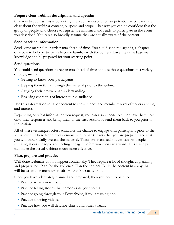#### **Prepare clear webinar descriptions and agendas**

One way to address this is by writing the webinar description so potential participants are clear about the webinar content, purpose and scope. That way you can be confident that the group of people who choose to register are informed and ready to participate in the event you described. You can also broadly assume they are equally aware of the content.

#### **Send baseline information**

Send some material to participants ahead of time. You could send the agenda, a chapter or article to help participants become familiar with the content, have the same baseline knowledge and be prepared for your starting point.

#### **Send questions**

You could send questions to registrants ahead of time and use those questions in a variety of ways, such as:

- Getting to know your participants
- Helping them think through the material prior to the webinar
- Gauging their pre-webinar understanding
- Ensuring content is of interest to the audience

Use this information to tailor content to the audience and members' level of understanding and interest.

Depending on what information you request, you can also choose to either have them hold onto their responses and bring them to the first session or send them back to you prior to the session.

All of these techniques offer facilitators the chance to engage with participants prior to the actual event. These techniques demonstrate to participants that you are prepared and that you will thoughtfully present the material. These pre-event techniques can get people thinking about the topic and feeling engaged before you even say a word. This strategy can make the actual webinar much more effective.

#### **Plan, prepare and practice**

Well done webinars do not happen accidentally. They require a lot of thoughtful planning and preparation. Plan for the audience. Plan the content. Build the content in a way that will be easiest for members to absorb and interact with it.

Once you have adequately planned and prepared, then you need to practice.

- Practice what you will say.
- Practice telling stories that demonstrate your points.
- Practice going through your PowerPoint, if you are using one.
- Practice showing videos.
- Practice how you will describe charts and other visuals.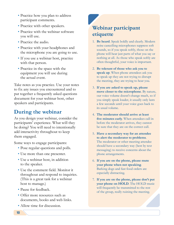- Practice how you plan to address participant comments.
- Practice with other speakers.
- Practice with the webinar software you will use.
- Practice the audio.
- Practice with your headphones and the microphone you are going to use.
- If you use a webinar host, practice with that person.
- Practice in the space with the equipment you will use during the actual event.

Take notes as you practice. Use your notes to fix any issues you encountered and to put together a frequently asked questions document for your webinar host, other speakers and participants.

## **During the webinar**

As you design your webinar, consider the participants' experience. What will they be doing? You will need to intentionally add interactivity throughout to keep them engaged.

Some ways to engage participants:

- Pose regular questions and polls.
- Use more than one presenter.
- Use a webinar host, in addition to the speaker.
- Use the comment field. Monitor it throughout and respond to inquiries. (This is a great task for a webinar host to manage.)
- Pause for feedback.
- Offer more resources such as documents, books and web links.
- Allow time for discussion.

## **Webinar participant etiquette**

- 1. **Be heard**. Speak boldly and clearly. Modern noise cancelling microphones suppress soft sounds, so if you speak softly, those on the phone will hear just parts of what you say or nothing at all. As those who speak softly are often thoughtful, your voice is important.
- 2. **Be tolerant of those who ask you to speak up**. When phone attendees ask you to speak up they are not trying to disrupt the meeting, they are trying to hear you.
- 3. **If you are asked to speak up, please move closer to the microphone**. By nature, our voice volume doesn't change much, so if you simply speak louder, it usually only lasts a few seconds until your voice goes back to its usual volume.
- 4. **The moderator should arrive at least five minutes early**. When attendees call in before the moderator arrives, they cannot be sure that they are on the correct call.
- 5. **Have a secondary way for an attendee to alert the moderator to problems**. The moderator or other meeting attendee should have a secondary way (best by text messaging) to receive concerns about the phone arrangements.
- 6. **If you are on the phone, please mute your phone when not speaking**. Barking dogs and fast food orders are especially distracting.
- 7. **If you are on the phone, please don't put your phone on HOLD**. The HOLD music will frequently be transmitted to the rest of the group, really ruining the meeting.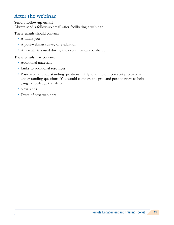## **After the webinar**

#### **Send a follow-up email**

Always send a follow-up email after facilitating a webinar.

These emails should contain:

- A thank you
- A post-webinar survey or evaluation
- Any materials used during the event that can be shared

These emails may contain:

- Additional materials
- Links to additional resources
- Post-webinar understanding questions (Only send these if you sent pre-webinar understanding questions. You would compare the pre- and post-answers to help gauge knowledge transfer.)
- Next steps
- Dates of next webinars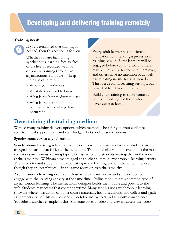## <span id="page-13-0"></span>Developing and delivering training remotely

#### **Training need:**



If you determined that training is needed, then this section is for you.

Whether you are facilitating synchronous learning face-to-face or via live or recorded webinar, or you are training through an asynchronous e-module — keep these basics in mind:

- Who is your audience?
- What do they need to know?
- What is the best medium to use?
- What is the best method to confirm that knowledge transfer occurred?

Every adult learner has a different motivation for attending a professional training session. Some learners will be engaged before you say a word, others may buy in later after you win them over, and others have no intention of actively participating no matter what you do. This is true for all learning settings, but is hardest to address remotely.

Build your training to share content, not to defend against those who never came to learn.

## **Determining the training medium**

With so many training delivery options, which method is best for you, your audience, your technical support team and your budget? Let's look at some options.

#### **Synchronous verses asynchronous**

**Synchronous learning** refers to learning events where the instructors and students are engaged in learning activities at the same time. Traditional classroom instruction is the most common synchronous learning type. The instructor and students are together in the room at the same time. Webinars have emerged as another common synchronous learning activity. The instructor and students are participating in the learning event at the same time, even though they are not physically in the same room or even the same city.

**Asynchronous learning** events are those where the instructor and students do not engage with the learning activity at the same time. Online modules are a common type of asynchronous learning. The instructional designer builds the module and posts it to the web. Students may access that content anytime. Many schools use asynchronous learning software where instructors can post course materials, host discussions, and collect and grade assignments. All of this can be done at both the instructor's and student's convenience. YouTube is another example of this. Someone posts a video and viewers access the video.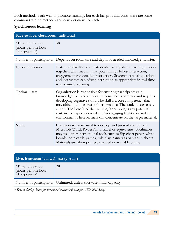Both methods work well to promote learning, but each has pros and cons. Here are some common training methods and considerations for each:

#### **Synchronous learning**

| Face-to-face, classroom, traditional                               |                                                                                                                                                                                                                                                                                                                                                                                                                                                                                        |
|--------------------------------------------------------------------|----------------------------------------------------------------------------------------------------------------------------------------------------------------------------------------------------------------------------------------------------------------------------------------------------------------------------------------------------------------------------------------------------------------------------------------------------------------------------------------|
| <i>*Time to develop</i><br>(hours per one hour<br>of instruction): | 38                                                                                                                                                                                                                                                                                                                                                                                                                                                                                     |
| Number of participants:                                            | Depends on room size and depth of needed knowledge transfer.                                                                                                                                                                                                                                                                                                                                                                                                                           |
| Typical outcomes:                                                  | Instructor/facilitator and students participate in learning process<br>together. This medium has potential for fullest interaction,<br>engagement and detailed instruction. Students can ask questions<br>and instructors can adjust instruction as appropriate in real time<br>to maximize learning.                                                                                                                                                                                  |
| Optimal uses:                                                      | Organization is responsible for ensuring participants gain<br>knowledge, skills or abilities. Information is complex and requires<br>developing cognitive skills. The skill is a core competency that<br>may affect multiple areas of performance. The students can easily<br>attend. The benefit of the training far outweighs any potential<br>cost, including experienced and/or engaging facilitators and an<br>environment where learners can concentrate on the target material. |
| Notes:                                                             | Common software used to develop and present content are<br>Microsoft Word, PowerPoint, Excel or equivalents. Facilitators<br>may use other instructional tools such as flip chart paper, white<br>boards, note cards, games, role play, nametags or sign-in sheets.<br>Materials are often printed, emailed or available online.                                                                                                                                                       |

| Live, instructor-led, webinar (virtual)                       |                                                                    |
|---------------------------------------------------------------|--------------------------------------------------------------------|
| $*Time$ to develop<br>(hours per one hour<br>of instruction): | 28                                                                 |
|                                                               | Number of participants: Unlimited, unless software limits capacity |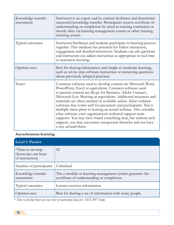| Knowledge transfer<br>assessment: | Instructor is an expert and/or content facilitator and determines<br>successful knowledge transfer. Participants receive certificate of<br>understanding or completion by email at training conclusion or<br>shortly after via learning management system or other training<br>tracking system.                                                                                                                                                                                                                                                                                                                                                                                      |
|-----------------------------------|--------------------------------------------------------------------------------------------------------------------------------------------------------------------------------------------------------------------------------------------------------------------------------------------------------------------------------------------------------------------------------------------------------------------------------------------------------------------------------------------------------------------------------------------------------------------------------------------------------------------------------------------------------------------------------------|
| Typical outcomes:                 | Instructor/facilitator and students participate in learning process<br>together. This medium has potential for fullest interaction,<br>engagement and detailed instruction. Students can ask questions<br>and instructors can adjust instruction as appropriate in real time<br>to maximize learning.                                                                                                                                                                                                                                                                                                                                                                                |
| Optimal uses:                     | Best for sharing information and simple to moderate learning,<br>such as set-by-step software instruction or answering questions<br>about previously adopted practices.                                                                                                                                                                                                                                                                                                                                                                                                                                                                                                              |
| Notes:                            | Common software used to develop content are Microsoft Word,<br>PowerPoint, Excel or equivalents. Common software used<br>to present content are Skype for Business, Adobe Connect,<br>Microsoft Live Meeting or equivalents. Additional resources and<br>materials are often emailed or available online. Select webinar<br>software that works well for presenters and participants. Test it<br>multiple times prior to hosting an actual webinar. Also consider<br>what software your organization's technical support team<br>supports. You may have found something neat, but without tech<br>support, you may encounter unexpected obstacles and not have<br>a way around them. |

#### **Asynchronous learning**

| <b>Level 1: Passive</b>                                       |                                                                                                         |
|---------------------------------------------------------------|---------------------------------------------------------------------------------------------------------|
| $*Time$ to develop<br>(hours per one hour<br>of instruction): | 42                                                                                                      |
| Number of participants:                                       | Unlimited                                                                                               |
| Knowledge transfer<br>assessment:                             | The e-module or learning management system generates the<br>certificate of understanding or completion. |
| Typical outcomes:                                             | Learner receives information.                                                                           |
| Optimal uses:                                                 | Best for sharing a set of information with many people.                                                 |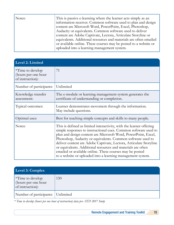| Notes: | This is passive e-learning where the learner acts simply as an<br>information receiver. Common software used to plan and design<br>content are Microsoft Word, PowerPoint, Excel, Photoshop,<br>Audacity or equivalents. Common software used to deliver<br>content are Adobe Captivate, Lectora, Articulate Storyline or<br>equivalents. Additional resources and materials are often emailed<br>or available online. These courses may be posted to a website or |
|--------|--------------------------------------------------------------------------------------------------------------------------------------------------------------------------------------------------------------------------------------------------------------------------------------------------------------------------------------------------------------------------------------------------------------------------------------------------------------------|
|        | uploaded into a learning management system.                                                                                                                                                                                                                                                                                                                                                                                                                        |

| Level 2: Limited                                                   |                                                                                                                                                                                                                                                                                                                                                                                                                                                                                                                                          |
|--------------------------------------------------------------------|------------------------------------------------------------------------------------------------------------------------------------------------------------------------------------------------------------------------------------------------------------------------------------------------------------------------------------------------------------------------------------------------------------------------------------------------------------------------------------------------------------------------------------------|
| <i>*Time to develop</i><br>(hours per one hour<br>of instruction): | 71                                                                                                                                                                                                                                                                                                                                                                                                                                                                                                                                       |
| Number of participants:                                            | Unlimited                                                                                                                                                                                                                                                                                                                                                                                                                                                                                                                                |
| Knowledge transfer<br>assessment:                                  | The e-module or learning management system generates the<br>certificate of understanding or completion.                                                                                                                                                                                                                                                                                                                                                                                                                                  |
| Typical outcomes:                                                  | Learner demonstrates movement through the information.<br>May include questions.                                                                                                                                                                                                                                                                                                                                                                                                                                                         |
| Optimal uses:                                                      | Best for teaching simple concepts and skills to many people.                                                                                                                                                                                                                                                                                                                                                                                                                                                                             |
| Notes:                                                             | This is defined as limited interactivity, with the learner offering<br>simple responses to instructional cues. Common software used to<br>plan and design content are Microsoft Word, PowerPoint, Excel,<br>Photoshop, Audacity or equivalents. Common software used to<br>deliver content are Adobe Captivate, Lectora, Articulate Storyline<br>or equivalents. Additional resources and materials are often<br>emailed or available online. These courses may be posted<br>to a website or uploaded into a learning management system. |

| Level 3: $Complex1$                                                 |     |
|---------------------------------------------------------------------|-----|
| $\vert$ *Time to develop<br>(hours per one hour<br>of instruction): | 130 |
| Number of participants: Unlimited                                   |     |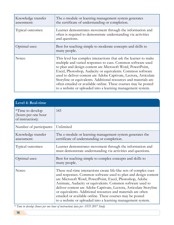| Knowledge transfer<br>assessment: | The e-module or learning management system generates<br>the certificate of understanding or completion.                                                                                                                                                                                                                                                                                                                                                                                                                              |
|-----------------------------------|--------------------------------------------------------------------------------------------------------------------------------------------------------------------------------------------------------------------------------------------------------------------------------------------------------------------------------------------------------------------------------------------------------------------------------------------------------------------------------------------------------------------------------------|
| Typical outcomes:                 | Learner demonstrates movement through the information and<br>often is required to demonstrate understanding via activities<br>and questions.                                                                                                                                                                                                                                                                                                                                                                                         |
| Optimal uses:                     | Best for teaching simple to moderate concepts and skills to<br>many people.                                                                                                                                                                                                                                                                                                                                                                                                                                                          |
| Notes:                            | This level has complex interactions that ask the learner to make<br>multiple and varied responses to cues. Common software used<br>to plan and design content are Microsoft Word, PowerPoint,<br>Excel, Photoshop, Audacity or equivalents. Common software<br>used to deliver content are Adobe Captivate, Lectora, Articulate<br>Storyline or equivalents. Additional resources and materials are<br>often emailed or available online. These courses may be posted<br>to a website or uploaded into a learning management system. |

| Level 4: Real-time                                                 |                                                                                                                                                                                                                                                                                                                                                                                                                                                                                                                               |
|--------------------------------------------------------------------|-------------------------------------------------------------------------------------------------------------------------------------------------------------------------------------------------------------------------------------------------------------------------------------------------------------------------------------------------------------------------------------------------------------------------------------------------------------------------------------------------------------------------------|
| <i>*Time to develop</i><br>(hours per one hour<br>of instruction): | 143                                                                                                                                                                                                                                                                                                                                                                                                                                                                                                                           |
| Number of participants:                                            | Unlimited                                                                                                                                                                                                                                                                                                                                                                                                                                                                                                                     |
| Knowledge transfer<br>assessment:                                  | The e-module or learning management system generates the<br>certificate of understanding or completion.                                                                                                                                                                                                                                                                                                                                                                                                                       |
| Typical outcomes:                                                  | Learner demonstrates movement through the information and<br>must demonstrate understanding via activities and questions.                                                                                                                                                                                                                                                                                                                                                                                                     |
| Optimal uses:                                                      | Best for teaching simple to complex concepts and skills to<br>many people.                                                                                                                                                                                                                                                                                                                                                                                                                                                    |
| Notes:                                                             | These real-time interactions create life-like sets of complex cues<br>and responses. Common software used to plan and design content<br>are Microsoft Word, PowerPoint, Excel, Photoshop, Adobe<br>Animate, Audacity or equivalents. Common software used to<br>deliver content are Adobe Captivate, Lectora, Articulate Storyline<br>or equivalents. Additional resources and materials are often<br>emailed or available online. These courses may be posted<br>to a website or uploaded into a learning management system. |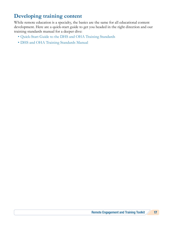## **Developing training content**

While remote education is a specialty, the basics are the same for all educational content development. Here are a quick-start guide to get you headed in the right direction and our training standards manual for a deeper dive:

- [Quick-Start Guide to the DHS and OHA Training Standards](https://apps.state.or.us/cf1/DHSforms/Forms/Served/de9873.pdf)
- [DHS and OHA Training Standards Manual](https://apps.state.or.us/cf1/DHSforms/Forms/Served/de9872.pdf)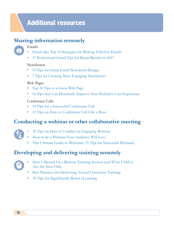## Additional resources

## **Sharing information remotely**

#### Emails

- [Email tips: Top 10 Strategies for Writing Effective Emails](https://jerz.setonhill.edu/writing/e-text/email/)
- [17 Professional Email Tips for Better Results in 2017](https://business.tutsplus.com/articles/professional-email-tips--cms-28651)

#### **Newsletters**

- [19 Tips for Great Email Newsletter Design](https://www.creativebloq.com/graphic-design/20-tips-great-newsletter-design-10121013)
- [7 Tips for Creating More Engaging Newsletters](https://www.mailjet.com/blog/news/7-tips-creating-engaging-newsletters/)

#### Web Pages

- [Top 10 Tips to a Great Web Page](https://www.lifewire.com/tips-for-a-great-web-page-3470063)
- [10 Tips that Can Drastically Improve Your Website's User Experience](https://blog.hubspot.com/marketing/improve-your-websites-user-experience)

#### Conference Calls

- [10 Tips for a Successful Conference Call](https://www.business.com/articles/10-tips-for-a-successful-conference-call/)
- [12 Tips on How to Conference Call Like a Boss](https://jive.com/resources/blog/12-tips-conference-call-like-a-boss/)

### **Conducting a webinar or other collaborative meeting**

- 
- [18 Tips on How to Conduct an Engaging Webinar](https://speakingaboutpresenting.com/presentation-skills/how-to-conduct-engaging-webinar/)
- [How to do a Webinar Your Audience Will Love](https://www.wordstream.com/blog/ws/2014/08/26/how-to-do-a-webinar)
- [The Ultimate Guide to Webinars: 37 Tips for Successful Webinars](https://www.searchenginejournal.com/webinar-planning-best-practices-guide/231301/)

## **Developing and delivering training remotely**



- [How I Messed Up a Remote Training Session \(and What I Did to](https://www.kayako.com/blog/remote-training/)  [Ace the Next One\)](https://www.kayako.com/blog/remote-training/)
- [Best Practices for Delivering Virtual Classroom Training](https://www.google.com/url?sa=t&rct=j&q=&esrc=s&source=web&cd=9&ved=0ahUKEwjN8575vIPcAhWDHTQIHaWHB6QQFghYMAg&url=https%3A%2F%2Fwww.elearningguild.com%2Fshowfile.cfm%3Fid%3D3159&usg=AOvVaw1WSC20RzCf0T3LkFXpS78U)
- [35 Tips for Significantly Better eLearning](https://www.learnupon.com/blog/35-tips-significantly-better-elearning/)